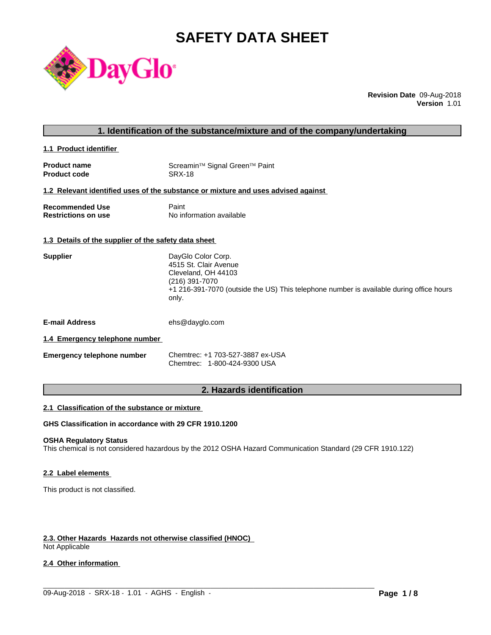# **SAFETY DATA SHEET**



**Revision Date** 09-Aug-2018 **Version** 1.01

| 1. Identification of the substance/mixture and of the company/undertaking |
|---------------------------------------------------------------------------|
|---------------------------------------------------------------------------|

**1.1 Product identifier** 

| <b>Product name</b> | Screamin <sup>™</sup> Signal Green <sup>™</sup> Paint |
|---------------------|-------------------------------------------------------|
| <b>Product code</b> | SRX-18                                                |

#### **1.2 Relevant identified uses of the substance or mixture and uses advised against**

| <b>Recommended Use</b>     | Paint                    |
|----------------------------|--------------------------|
| <b>Restrictions on use</b> | No information available |

#### **1.3 Details of the supplier of the safety data sheet**

| DayGlo Color Corp.<br>4515 St. Clair Avenue                                             |
|-----------------------------------------------------------------------------------------|
|                                                                                         |
| Cleveland, OH 44103                                                                     |
| (216) 391-7070                                                                          |
| +1 216-391-7070 (outside the US) This telephone number is available during office hours |
|                                                                                         |
|                                                                                         |

**E-mail Address** ehs@dayglo.com

# **1.4 Emergency telephone number**

| <b>Emergency telephone number</b> | Chemtrec: +1 703-527-3887 ex-USA |
|-----------------------------------|----------------------------------|
|                                   | Chemtrec: 1-800-424-9300 USA     |

# **2. Hazards identification**

#### **2.1 Classification of the substance or mixture**

**GHS Classification in accordance with 29 CFR 1910.1200**

# **OSHA Regulatory Status**

This chemical is not considered hazardous by the 2012 OSHA Hazard Communication Standard (29 CFR 1910.122)

 $\_$  ,  $\_$  ,  $\_$  ,  $\_$  ,  $\_$  ,  $\_$  ,  $\_$  ,  $\_$  ,  $\_$  ,  $\_$  ,  $\_$  ,  $\_$  ,  $\_$  ,  $\_$  ,  $\_$  ,  $\_$  ,  $\_$  ,  $\_$  ,  $\_$  ,  $\_$  ,  $\_$  ,  $\_$  ,  $\_$  ,  $\_$  ,  $\_$  ,  $\_$  ,  $\_$  ,  $\_$  ,  $\_$  ,  $\_$  ,  $\_$  ,  $\_$  ,  $\_$  ,  $\_$  ,  $\_$  ,  $\_$  ,  $\_$  ,

#### **2.2 Label elements**

This product is not classified.

# **2.3. Other Hazards Hazards not otherwise classified (HNOC)**

Not Applicable

#### **2.4 Other information**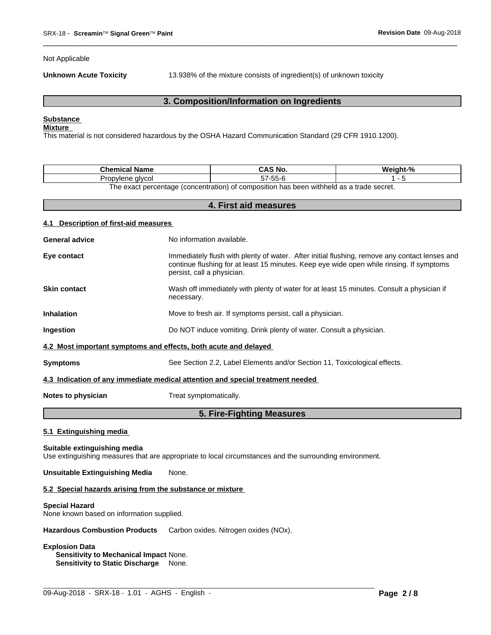Not Applicable

**Unknown Acute Toxicity** 13.938% of the mixture consists of ingredient(s) of unknown toxicity

 $\overline{\phantom{a}}$  ,  $\overline{\phantom{a}}$  ,  $\overline{\phantom{a}}$  ,  $\overline{\phantom{a}}$  ,  $\overline{\phantom{a}}$  ,  $\overline{\phantom{a}}$  ,  $\overline{\phantom{a}}$  ,  $\overline{\phantom{a}}$  ,  $\overline{\phantom{a}}$  ,  $\overline{\phantom{a}}$  ,  $\overline{\phantom{a}}$  ,  $\overline{\phantom{a}}$  ,  $\overline{\phantom{a}}$  ,  $\overline{\phantom{a}}$  ,  $\overline{\phantom{a}}$  ,  $\overline{\phantom{a}}$ 

# **3. Composition/Information on Ingredients**

# **Substance**

#### **Mixture**

This material is not considered hazardous by the OSHA Hazard Communication Standard (29 CFR 1910.1200).

| <b>Chemical Name</b>                                                                                           | CAS No.               | Weiaht-% |  |  |
|----------------------------------------------------------------------------------------------------------------|-----------------------|----------|--|--|
| alvcol<br>Propylene<br>שט                                                                                      | -55-6<br>--<br>$\sim$ |          |  |  |
| n withheld as a trade secret.<br>t percentage (concentration) c<br>ı has been<br>composition."<br>`exacı<br>റ† |                       |          |  |  |

**4. First aid measures 4.1 Description of first-aid measures General advice** No information available. **Eye contact** Immediately flush with plenty of water. After initial flushing, remove any contact lenses and continue flushing for at least 15 minutes. Keep eye wide open while rinsing. If symptoms persist, call a physician. **Skin contact** Wash off immediately with plenty of water for atleast 15 minutes. Consult a physician if necessary. **Inhalation** Move to fresh air. If symptoms persist, call a physician. **Ingestion Do NOT** induce vomiting. Drink plenty of water. Consult a physician. **4.2 Most important symptoms and effects, both acute and delayed Symptoms** See Section 2.2, Label Elements and/or Section 11, Toxicological effects. **4.3 Indication of any immediate medical attention and special treatment needed Notes to physician** Treat symptomatically. **5. Fire-Fighting Measures**

# **5.1 Extinguishing media**

# **Suitable extinguishing media**

Use extinguishing measures that are appropriate to local circumstances and the surrounding environment.

 $\_$  ,  $\_$  ,  $\_$  ,  $\_$  ,  $\_$  ,  $\_$  ,  $\_$  ,  $\_$  ,  $\_$  ,  $\_$  ,  $\_$  ,  $\_$  ,  $\_$  ,  $\_$  ,  $\_$  ,  $\_$  ,  $\_$  ,  $\_$  ,  $\_$  ,  $\_$  ,  $\_$  ,  $\_$  ,  $\_$  ,  $\_$  ,  $\_$  ,  $\_$  ,  $\_$  ,  $\_$  ,  $\_$  ,  $\_$  ,  $\_$  ,  $\_$  ,  $\_$  ,  $\_$  ,  $\_$  ,  $\_$  ,  $\_$  ,

**Unsuitable Extinguishing Media** None.

#### **5.2 Special hazards arising from the substance or mixture**

#### **Special Hazard**

None known based on information supplied.

**Hazardous Combustion Products** Carbon oxides. Nitrogen oxides (NOx).

### **Explosion Data**

**Sensitivity to Mechanical Impact** None. **Sensitivity to Static Discharge** None.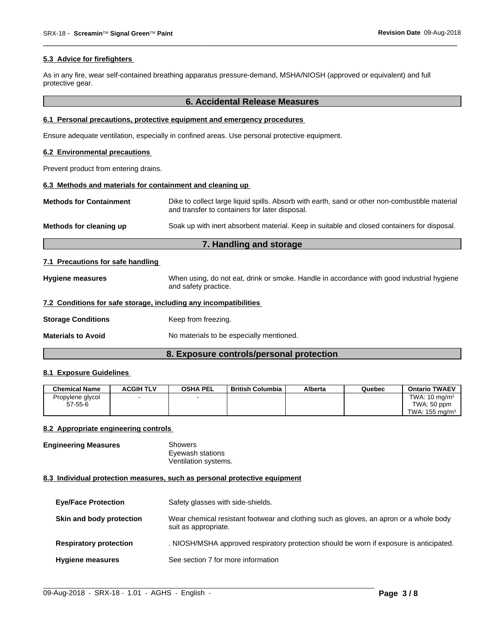#### **5.3 Advice for firefighters**

As in any fire, wear self-contained breathing apparatus pressure-demand, MSHA/NIOSH (approved or equivalent) and full protective gear.

#### **6. Accidental Release Measures**

 $\overline{\phantom{a}}$  ,  $\overline{\phantom{a}}$  ,  $\overline{\phantom{a}}$  ,  $\overline{\phantom{a}}$  ,  $\overline{\phantom{a}}$  ,  $\overline{\phantom{a}}$  ,  $\overline{\phantom{a}}$  ,  $\overline{\phantom{a}}$  ,  $\overline{\phantom{a}}$  ,  $\overline{\phantom{a}}$  ,  $\overline{\phantom{a}}$  ,  $\overline{\phantom{a}}$  ,  $\overline{\phantom{a}}$  ,  $\overline{\phantom{a}}$  ,  $\overline{\phantom{a}}$  ,  $\overline{\phantom{a}}$ 

#### **6.1 Personal precautions, protective equipment and emergency procedures**

Ensure adequate ventilation, especially in confined areas. Use personal protective equipment.

#### **6.2 Environmental precautions**

Prevent product from entering drains.

# **6.3 Methods and materials for containment and cleaning up**

| <b>Hygiene measures</b> | When using, do not eat, drink or smoke. Handle in accordance with good industrial hygiene |
|-------------------------|-------------------------------------------------------------------------------------------|
|                         | and safety practice.                                                                      |

#### **7.2 Conditions for safe storage, including any incompatibilities**

**Storage Conditions Keep from freezing.** 

**Materials to Avoid** No materials to be especially mentioned.

# **8. Exposure controls/personal protection**

#### **8.1 Exposure Guidelines**

| <b>Chemical Name</b> | <b>ACGIH TLV</b> | <b>OSHA PEL</b> | <b>British Columbia</b> | Alberta | Quebec | <b>Ontario TWAEV</b>      |
|----------------------|------------------|-----------------|-------------------------|---------|--------|---------------------------|
| Propylene glycol     |                  |                 |                         |         |        | TWA: $10 \text{ ma/m}^3$  |
| $57 - 55 - 6$        |                  |                 |                         |         |        | TWA: 50 ppm               |
|                      |                  |                 |                         |         |        | TWA: $155 \text{ ma/m}^3$ |

#### **8.2 Appropriate engineering controls**

| <b>Engineering Measures</b> | Showers              |  |
|-----------------------------|----------------------|--|
|                             | Eyewash stations     |  |
|                             | Ventilation systems. |  |

#### **8.3 Individual protection measures, such as personal protective equipment**

| <b>Eye/Face Protection</b>    | Safety glasses with side-shields.                                                                              |
|-------------------------------|----------------------------------------------------------------------------------------------------------------|
| Skin and body protection      | Wear chemical resistant footwear and clothing such as gloves, an apron or a whole body<br>suit as appropriate. |
| <b>Respiratory protection</b> | . NIOSH/MSHA approved respiratory protection should be worn if exposure is anticipated.                        |
| <b>Hygiene measures</b>       | See section 7 for more information                                                                             |

 $\_$  ,  $\_$  ,  $\_$  ,  $\_$  ,  $\_$  ,  $\_$  ,  $\_$  ,  $\_$  ,  $\_$  ,  $\_$  ,  $\_$  ,  $\_$  ,  $\_$  ,  $\_$  ,  $\_$  ,  $\_$  ,  $\_$  ,  $\_$  ,  $\_$  ,  $\_$  ,  $\_$  ,  $\_$  ,  $\_$  ,  $\_$  ,  $\_$  ,  $\_$  ,  $\_$  ,  $\_$  ,  $\_$  ,  $\_$  ,  $\_$  ,  $\_$  ,  $\_$  ,  $\_$  ,  $\_$  ,  $\_$  ,  $\_$  ,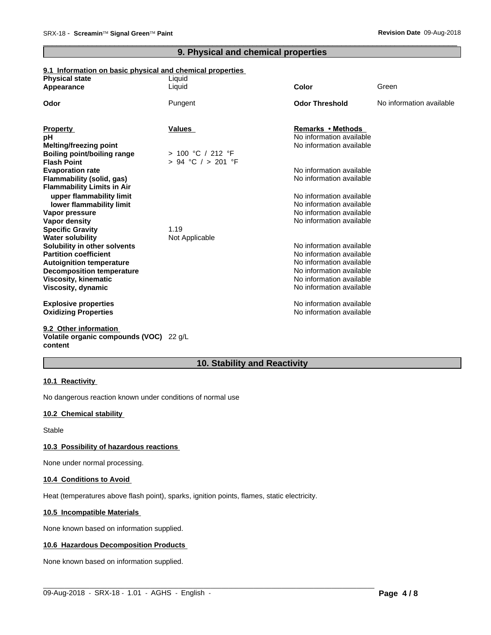# **9. Physical and chemical properties**

 $\overline{\phantom{a}}$  ,  $\overline{\phantom{a}}$  ,  $\overline{\phantom{a}}$  ,  $\overline{\phantom{a}}$  ,  $\overline{\phantom{a}}$  ,  $\overline{\phantom{a}}$  ,  $\overline{\phantom{a}}$  ,  $\overline{\phantom{a}}$  ,  $\overline{\phantom{a}}$  ,  $\overline{\phantom{a}}$  ,  $\overline{\phantom{a}}$  ,  $\overline{\phantom{a}}$  ,  $\overline{\phantom{a}}$  ,  $\overline{\phantom{a}}$  ,  $\overline{\phantom{a}}$  ,  $\overline{\phantom{a}}$ 

# **9.1 Information on basic physical and chemical properties**

| <b>Physical state</b>              | Liquid                 |                          |                          |
|------------------------------------|------------------------|--------------------------|--------------------------|
| Appearance                         | Liquid                 | Color                    | Green                    |
| Odor                               | Pungent                | <b>Odor Threshold</b>    | No information available |
|                                    |                        |                          |                          |
| <b>Property</b>                    | Values                 | <b>Remarks • Methods</b> |                          |
| рH                                 |                        | No information available |                          |
| <b>Melting/freezing point</b>      |                        | No information available |                          |
| <b>Boiling point/boiling range</b> | > 100 °C / 212 °F      |                          |                          |
| <b>Flash Point</b>                 | $> 94$ °C $/ > 201$ °F |                          |                          |
| <b>Evaporation rate</b>            |                        | No information available |                          |
| Flammability (solid, gas)          |                        | No information available |                          |
| <b>Flammability Limits in Air</b>  |                        |                          |                          |
| upper flammability limit           |                        | No information available |                          |
| lower flammability limit           |                        | No information available |                          |
| Vapor pressure                     |                        | No information available |                          |
| Vapor density                      |                        | No information available |                          |
| <b>Specific Gravity</b>            | 1.19                   |                          |                          |
| <b>Water solubility</b>            | Not Applicable         |                          |                          |
| Solubility in other solvents       |                        | No information available |                          |
| <b>Partition coefficient</b>       |                        | No information available |                          |
| <b>Autoignition temperature</b>    |                        | No information available |                          |
| <b>Decomposition temperature</b>   |                        | No information available |                          |
| Viscosity, kinematic               |                        | No information available |                          |
| Viscosity, dynamic                 |                        | No information available |                          |
| <b>Explosive properties</b>        |                        | No information available |                          |
| <b>Oxidizing Properties</b>        |                        | No information available |                          |
| 9.2 Other information              |                        |                          |                          |

#### **Volatile organic compounds (VOC)** 22 g/L **content**

# **10. Stability and Reactivity**

#### **10.1 Reactivity**

No dangerous reaction known under conditions of normal use

# **10.2 Chemical stability**

Stable

#### **10.3 Possibility of hazardous reactions**

None under normal processing.

#### **10.4 Conditions to Avoid**

Heat (temperatures above flash point), sparks, ignition points, flames, static electricity.

#### **10.5 Incompatible Materials**

None known based on information supplied.

#### **10.6 Hazardous Decomposition Products**

None known based on information supplied.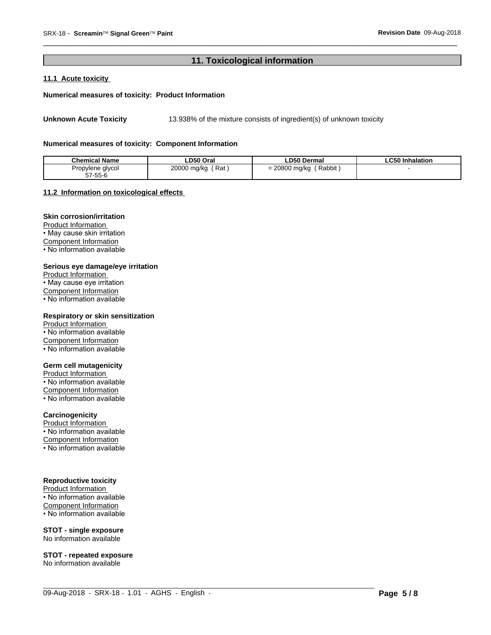# 11. Toxicological information

# 11.1 Acute toxicity

#### Numerical measures of toxicity: Product Information

13.938% of the mixture consists of ingredient(s) of unknown toxicity **Unknown Acute Toxicity** 

#### Numerical measures of toxicity: Component Information

| <b>Chemical Name</b> | LD50 Oral   | <b>LD50 Dermal</b> | <b>LC50 Inhalation</b> |
|----------------------|-------------|--------------------|------------------------|
| Propylene glycol     | ′ Rat .     | Rabbit             |                        |
| 57-55-6              | 20000 mg/kg | 20800 mg/kg        |                        |

#### 11.2 Information on toxicological effects

# **Skin corrosion/irritation**

Product Information • May cause skin irritation **Component Information** 

• No information available

#### Serious eye damage/eye irritation

Product Information • May cause eye irritation Component Information • No information available

#### Respiratory or skin sensitization

Product Information • No information available Component Information • No information available

#### **Germ cell mutagenicity**

Product Information • No information available Component Information • No information available

#### Carcinogenicity

Product Information • No information available Component Information

## • No information available

#### **Reproductive toxicity**

Product Information • No information available Component Information • No information available

#### **STOT - single exposure** No information available

**STOT - repeated exposure** No information available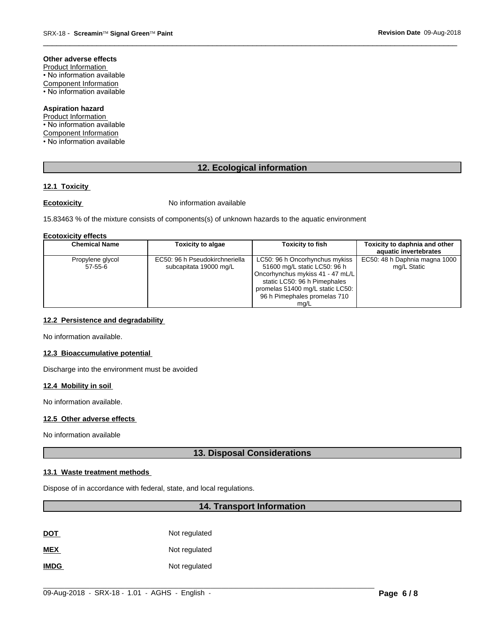#### Other adverse effects

Product Information • No information available **Component Information** • No information available

#### **Aspiration hazard**

Product Information • No information available **Component Information** 

• No information available

# 12. Ecological information

#### 12.1 Toxicity

#### **Ecotoxicity**

No information available

15.83463 % of the mixture consists of components(s) of unknown hazards to the aquatic environment

#### **Ecotoxicity effects**

| <b>Chemical Name</b> | <b>Toxicity to algae</b>       | <b>Toxicity to fish</b>          | Toxicity to daphnia and other |
|----------------------|--------------------------------|----------------------------------|-------------------------------|
|                      |                                |                                  | aquatic invertebrates         |
| Propylene glycol     | EC50: 96 h Pseudokirchneriella | LC50: 96 h Oncorhynchus mykiss   | EC50: 48 h Daphnia magna 1000 |
| $57-55-6$            | subcapitata 19000 mg/L         | 51600 mg/L static LC50: 96 h     | mg/L Static                   |
|                      |                                | Oncorhynchus mykiss 41 - 47 mL/L |                               |
|                      |                                | static LC50: 96 h Pimephales     |                               |
|                      |                                | promelas 51400 mg/L static LC50: |                               |
|                      |                                | 96 h Pimephales promelas 710     |                               |
|                      |                                | mq/L                             |                               |

#### 12.2 Persistence and degradability

No information available.

#### 12.3 Bioaccumulative potential

Discharge into the environment must be avoided

#### 12.4 Mobility in soil

No information available.

# 12.5 Other adverse effects

No information available

# 13. Disposal Considerations

#### 13.1 Waste treatment methods

Dispose of in accordance with federal, state, and local regulations.

# 14. Transport Information

| <u>DOT</u> | Not regulated |
|------------|---------------|
| <b>MEX</b> | Not regulated |

**IMDG** Not regulated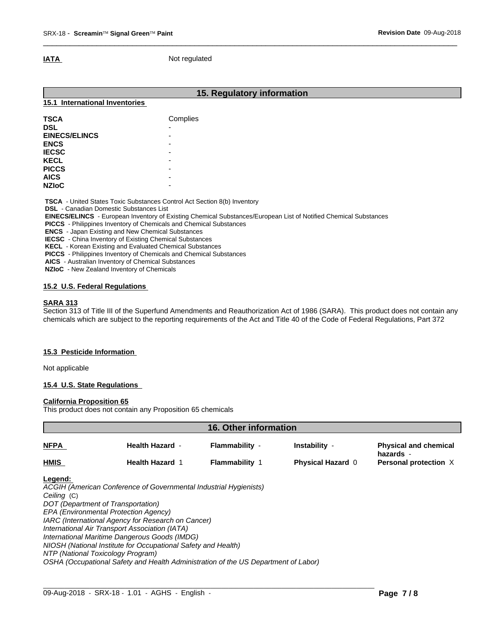**IATA** Not regulated

| 15.1 International Inventories | 15. Regulatory information |  |
|--------------------------------|----------------------------|--|
| <b>TSCA</b>                    | Complies                   |  |
| <b>DSL</b>                     | $\overline{\phantom{0}}$   |  |
| <b>EINECS/ELINCS</b>           | ٠                          |  |
| <b>ENCS</b>                    | ۰                          |  |
| <b>IECSC</b>                   | ٠                          |  |
| <b>KECL</b>                    | -                          |  |
| <b>PICCS</b>                   | ۰                          |  |
| <b>AICS</b>                    |                            |  |
| <b>NZIoC</b>                   |                            |  |

 $\overline{\phantom{a}}$  ,  $\overline{\phantom{a}}$  ,  $\overline{\phantom{a}}$  ,  $\overline{\phantom{a}}$  ,  $\overline{\phantom{a}}$  ,  $\overline{\phantom{a}}$  ,  $\overline{\phantom{a}}$  ,  $\overline{\phantom{a}}$  ,  $\overline{\phantom{a}}$  ,  $\overline{\phantom{a}}$  ,  $\overline{\phantom{a}}$  ,  $\overline{\phantom{a}}$  ,  $\overline{\phantom{a}}$  ,  $\overline{\phantom{a}}$  ,  $\overline{\phantom{a}}$  ,  $\overline{\phantom{a}}$ 

**Canadian Domestic Substances List** 

 **EINECS/ELINCS** - European Inventory of Existing Chemical Substances/European List of Notified Chemical Substances

 **PICCS** - Philippines Inventory of Chemicals and Chemical Substances

 **ENCS** - Japan Existing and New Chemical Substances

 **IECSC** - China Inventory of Existing Chemical Substances

 **KECL** - Korean Existing and Evaluated Chemical Substances

 **PICCS** - Philippines Inventory of Chemicals and Chemical Substances

 **AICS** - Australian Inventory of Chemical Substances

 **NZIoC** - New Zealand Inventory of Chemicals

# **15.2 U.S. Federal Regulations**

#### **SARA 313**

Section 313 of Title III of the Superfund Amendments and Reauthorization Act of 1986 (SARA). This product does not contain any chemicals which are subject to the reporting requirements of the Act and Title 40 of the Code of Federal Regulations, Part 372

# **15.3 Pesticide Information**

Not applicable

#### **15.4 U.S. State Regulations**

#### **California Proposition 65**

This product does not contain any Proposition 65 chemicals

| <b>16. Other information</b> |                                                                                                                                                                                                                                                                                                                                                                                                                                                                                                       |                       |                          |                                           |
|------------------------------|-------------------------------------------------------------------------------------------------------------------------------------------------------------------------------------------------------------------------------------------------------------------------------------------------------------------------------------------------------------------------------------------------------------------------------------------------------------------------------------------------------|-----------------------|--------------------------|-------------------------------------------|
| NFPA                         | <b>Health Hazard -</b>                                                                                                                                                                                                                                                                                                                                                                                                                                                                                | Flammability -        | Instability -            | <b>Physical and chemical</b><br>hazards - |
| HMIS                         | <b>Health Hazard 1</b>                                                                                                                                                                                                                                                                                                                                                                                                                                                                                | <b>Flammability 1</b> | <b>Physical Hazard 0</b> | Personal protection X                     |
| Legend:<br>Ceiling (C)       | ACGIH (American Conference of Governmental Industrial Hygienists)<br>DOT (Department of Transportation)<br>EPA (Environmental Protection Agency)<br>IARC (International Agency for Research on Cancer)<br>International Air Transport Association (IATA)<br>International Maritime Dangerous Goods (IMDG)<br>NIOSH (National Institute for Occupational Safety and Health)<br>NTP (National Toxicology Program)<br>OSHA (Occupational Safety and Health Administration of the US Department of Labor) |                       |                          |                                           |

 $\_$  ,  $\_$  ,  $\_$  ,  $\_$  ,  $\_$  ,  $\_$  ,  $\_$  ,  $\_$  ,  $\_$  ,  $\_$  ,  $\_$  ,  $\_$  ,  $\_$  ,  $\_$  ,  $\_$  ,  $\_$  ,  $\_$  ,  $\_$  ,  $\_$  ,  $\_$  ,  $\_$  ,  $\_$  ,  $\_$  ,  $\_$  ,  $\_$  ,  $\_$  ,  $\_$  ,  $\_$  ,  $\_$  ,  $\_$  ,  $\_$  ,  $\_$  ,  $\_$  ,  $\_$  ,  $\_$  ,  $\_$  ,  $\_$  ,